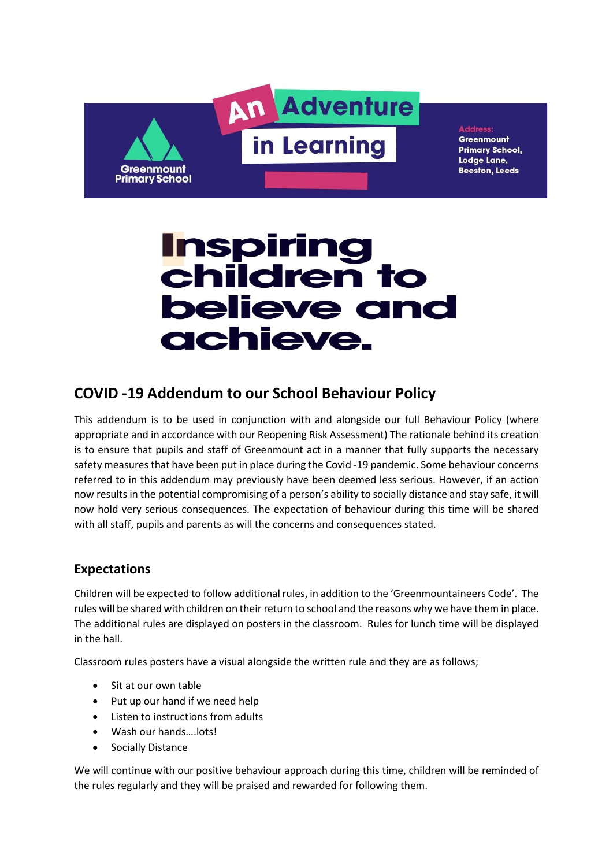

**Address** Greenmount Primary School, Lodge Lane, **Beeston, Leeds** 

# **Inspiring<br>children to believe and** achieve.

## COVID -19 Addendum to our School Behaviour Policy

This addendum is to be used in conjunction with and alongside our full Behaviour Policy (where appropriate and in accordance with our Reopening Risk Assessment) The rationale behind its creation is to ensure that pupils and staff of Greenmount act in a manner that fully supports the necessary safety measures that have been put in place during the Covid -19 pandemic. Some behaviour concerns referred to in this addendum may previously have been deemed less serious. However, if an action now results in the potential compromising of a person's ability to socially distance and stay safe, it will now hold very serious consequences. The expectation of behaviour during this time will be shared with all staff, pupils and parents as will the concerns and consequences stated.

### Expectations

Children will be expected to follow additional rules, in addition to the 'Greenmountaineers Code'. The rules will be shared with children on their return to school and the reasons why we have them in place. The additional rules are displayed on posters in the classroom. Rules for lunch time will be displayed in the hall.

Classroom rules posters have a visual alongside the written rule and they are as follows;

- Sit at our own table
- Put up our hand if we need help
- Listen to instructions from adults
- Wash our hands….lots!
- Socially Distance

We will continue with our positive behaviour approach during this time, children will be reminded of the rules regularly and they will be praised and rewarded for following them.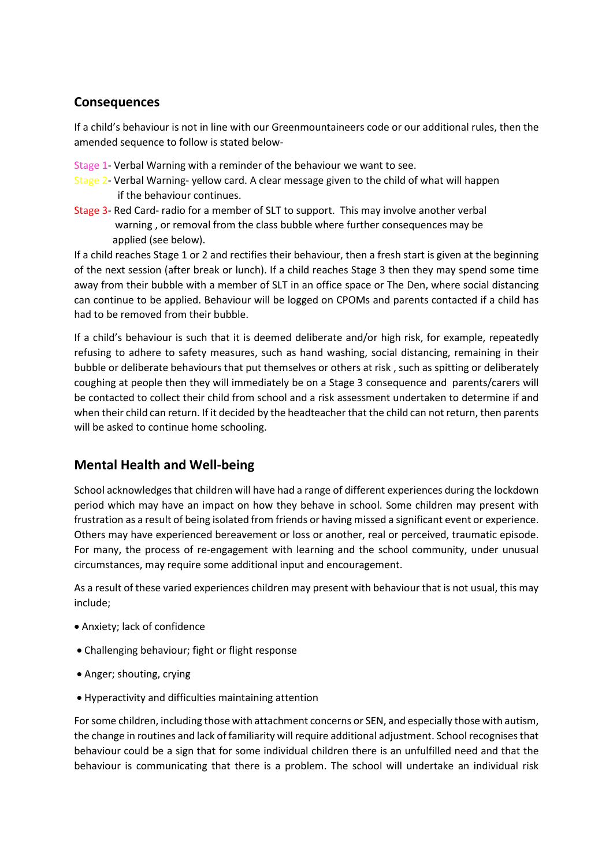#### **Consequences**

If a child's behaviour is not in line with our Greenmountaineers code or our additional rules, then the amended sequence to follow is stated below-

Stage 1- Verbal Warning with a reminder of the behaviour we want to see.

- Stage 2- Verbal Warning- yellow card. A clear message given to the child of what will happen if the behaviour continues.
- Stage 3- Red Card- radio for a member of SLT to support. This may involve another verbal warning , or removal from the class bubble where further consequences may be applied (see below).

If a child reaches Stage 1 or 2 and rectifies their behaviour, then a fresh start is given at the beginning of the next session (after break or lunch). If a child reaches Stage 3 then they may spend some time away from their bubble with a member of SLT in an office space or The Den, where social distancing can continue to be applied. Behaviour will be logged on CPOMs and parents contacted if a child has had to be removed from their bubble.

If a child's behaviour is such that it is deemed deliberate and/or high risk, for example, repeatedly refusing to adhere to safety measures, such as hand washing, social distancing, remaining in their bubble or deliberate behaviours that put themselves or others at risk , such as spitting or deliberately coughing at people then they will immediately be on a Stage 3 consequence and parents/carers will be contacted to collect their child from school and a risk assessment undertaken to determine if and when their child can return. If it decided by the headteacher that the child can not return, then parents will be asked to continue home schooling.

### Mental Health and Well-being

School acknowledges that children will have had a range of different experiences during the lockdown period which may have an impact on how they behave in school. Some children may present with frustration as a result of being isolated from friends or having missed a significant event or experience. Others may have experienced bereavement or loss or another, real or perceived, traumatic episode. For many, the process of re-engagement with learning and the school community, under unusual circumstances, may require some additional input and encouragement.

As a result of these varied experiences children may present with behaviour that is not usual, this may include;

- Anxiety; lack of confidence
- Challenging behaviour; fight or flight response
- Anger; shouting, crying
- Hyperactivity and difficulties maintaining attention

For some children, including those with attachment concerns or SEN, and especially those with autism, the change in routines and lack of familiarity will require additional adjustment. School recognises that behaviour could be a sign that for some individual children there is an unfulfilled need and that the behaviour is communicating that there is a problem. The school will undertake an individual risk